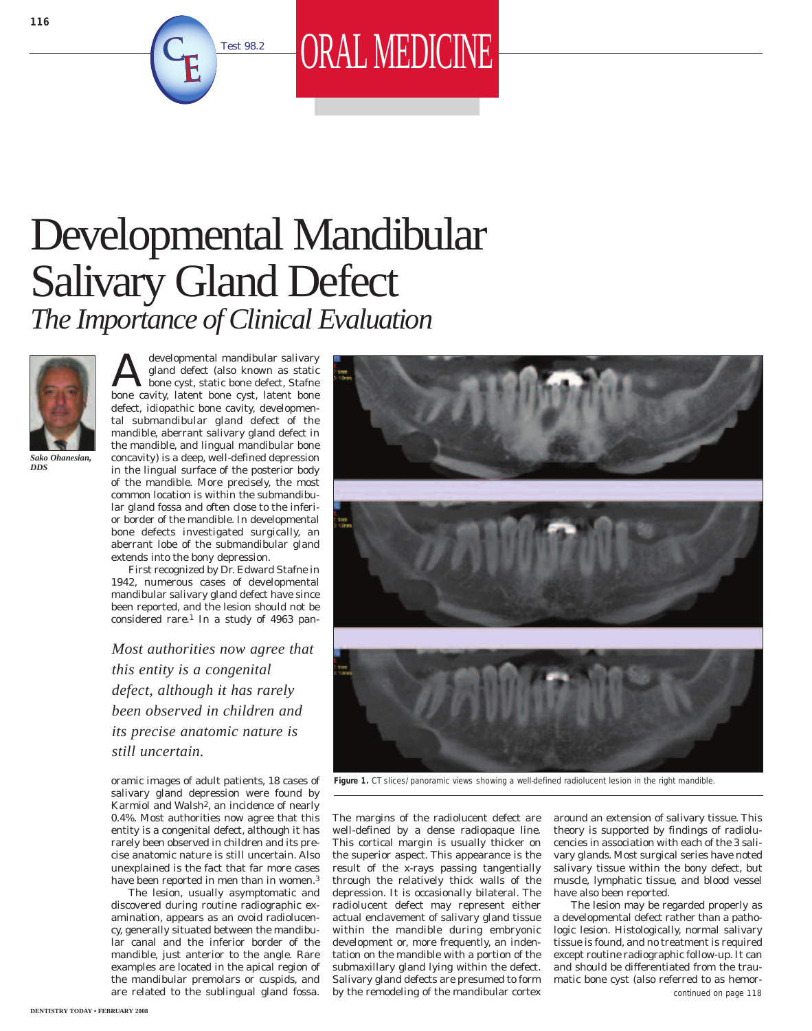

Test 98.2 **ORAL MEDICINE** 





*Sako Ohanesian, DDS*

developmental mandibular salivary<br>
gland defect (also known as static<br>
bone cyst, static bone defect, Stafne<br>
hone cyst, latent bone with latent bone gland defect (also known as static bone cavity, latent bone cyst, latent bone defect, idiopathic bone cavity, developmental submandibular gland defect of the mandible, aberrant salivary gland defect in the mandible, and lingual mandibular bone concavity) is a deep, well-defined depression in the lingual surface of the posterior body of the mandible. More precisely, the most common location is within the submandibular gland fossa and often close to the inferior border of the mandible. In developmental bone defects investigated surgically, an aberrant lobe of the submandibular gland extends into the bony depression.

First recognized by Dr. Edward Stafne in 1942, numerous cases of developmental mandibular salivary gland defect have since been reported, and the lesion should not be considered rare.1 In a study of 4963 pan-

*Most authorities now agree that this entity is a congenital defect, although it has rarely been observed in children and its precise anatomic nature is still uncertain.*

oramic images of adult patients, 18 cases of salivary gland depression were found by Karmiol and Walsh<sup>2</sup>, an incidence of nearly 0.4%. Most authorities now agree that this entity is a congenital defect, although it has rarely been observed in children and its precise anatomic nature is still uncertain. Also unexplained is the fact that far more cases have been reported in men than in women.<sup>3</sup>

The lesion, usually asymptomatic and discovered during routine radiographic examination, appears as an ovoid radiolucency, generally situated between the mandibular canal and the inferior border of the mandible, just anterior to the angle. Rare are related to the sublingual gland fossa.





**Figure 1.** CT slices/panoramic views showing a well-defined radiolucent lesion in the right mandible.

The margins of the radiolucent defect are well-defined by a dense radiopaque line. This cortical margin is usually thicker on the superior aspect. This appearance is the result of the x-rays passing tangentially through the relatively thick walls of the depression. It is occasionally bilateral. The radiolucent defect may represent either actual enclavement of salivary gland tissue within the mandible during embryonic development or, more frequently, an indentation on the mandible with a portion of the submaxillary gland lying within the defect. Salivary gland defects are presumed to form by the remodeling of the mandibular cortex

around an extension of salivary tissue. This theory is supported by findings of radiolucencies in association with each of the 3 salivary glands. Most surgical series have noted salivary tissue within the bony defect, but muscle, lymphatic tissue, and blood vessel have also been reported.

The lesion may be regarded properly as a developmental defect rather than a pathologic lesion. Histologically, normal salivary tissue is found, and no treatment is required except routine radiographic follow-up. It can and should be differentiated from the traumatic bone cyst (also referred to as hemor*continued on page 118*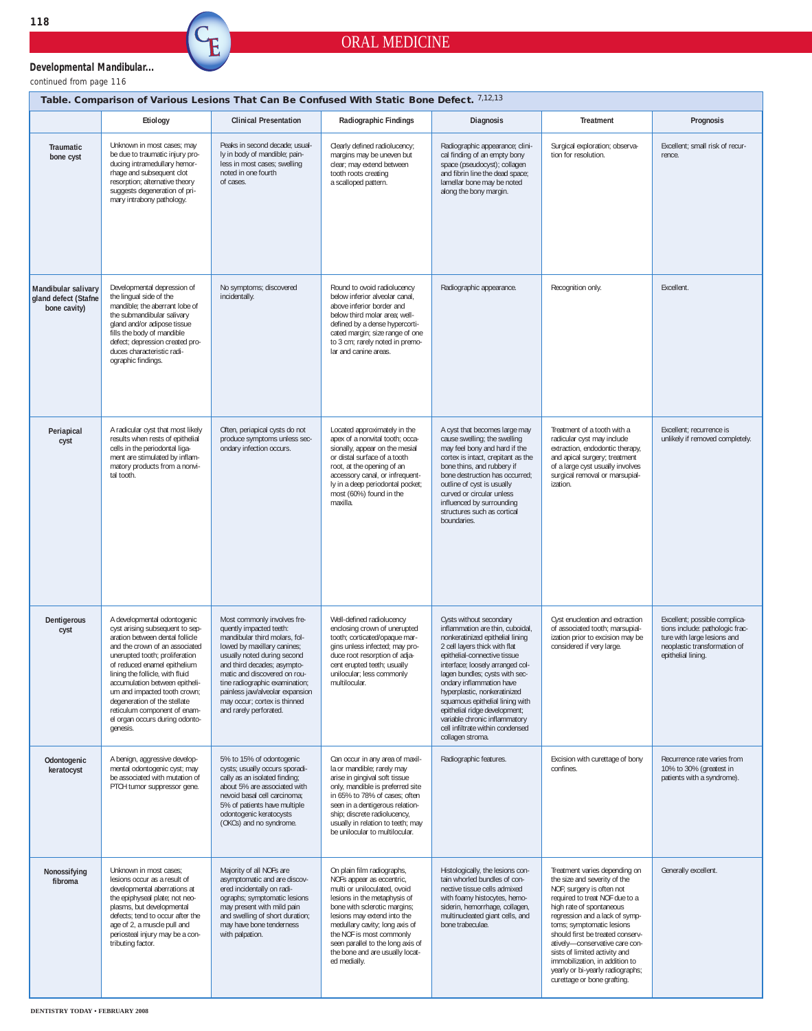## ORAL MEDICINE

*continued from page 116* **Developmental Mandibular...** ć

| Table. Comparison of Various Lesions That Can Be Confused With Static Bone Defect. 7,12,13 |                                                                                                                                                                                                                                                                                                                                                                                                                          |                                                                                                                                                                                                                                                                                                                                                     |                                                                                                                                                                                                                                                                                                                                              |                                                                                                                                                                                                                                                                                                                                                                                                                                                                 |                                                                                                                                                                                                                                                                                                                                                                                                                                     |                                                                                                                                                       |  |  |  |  |  |
|--------------------------------------------------------------------------------------------|--------------------------------------------------------------------------------------------------------------------------------------------------------------------------------------------------------------------------------------------------------------------------------------------------------------------------------------------------------------------------------------------------------------------------|-----------------------------------------------------------------------------------------------------------------------------------------------------------------------------------------------------------------------------------------------------------------------------------------------------------------------------------------------------|----------------------------------------------------------------------------------------------------------------------------------------------------------------------------------------------------------------------------------------------------------------------------------------------------------------------------------------------|-----------------------------------------------------------------------------------------------------------------------------------------------------------------------------------------------------------------------------------------------------------------------------------------------------------------------------------------------------------------------------------------------------------------------------------------------------------------|-------------------------------------------------------------------------------------------------------------------------------------------------------------------------------------------------------------------------------------------------------------------------------------------------------------------------------------------------------------------------------------------------------------------------------------|-------------------------------------------------------------------------------------------------------------------------------------------------------|--|--|--|--|--|
|                                                                                            | Etiology                                                                                                                                                                                                                                                                                                                                                                                                                 | <b>Clinical Presentation</b>                                                                                                                                                                                                                                                                                                                        | Radiographic Findings                                                                                                                                                                                                                                                                                                                        | <b>Diagnosis</b>                                                                                                                                                                                                                                                                                                                                                                                                                                                | Treatment                                                                                                                                                                                                                                                                                                                                                                                                                           | Prognosis                                                                                                                                             |  |  |  |  |  |
| <b>Traumatic</b><br>bone cyst                                                              | Unknown in most cases; may<br>be due to traumatic injury pro-<br>ducing intramedullary hemor-<br>rhage and subsequent clot<br>resorption; alternative theory<br>suggests degeneration of pri-<br>mary intrabony pathology.                                                                                                                                                                                               | Peaks in second decade; usual-<br>ly in body of mandible; pain-<br>less in most cases; swelling<br>noted in one fourth<br>of cases.                                                                                                                                                                                                                 | Clearly defined radiolucency;<br>margins may be uneven but<br>clear; may extend between<br>tooth roots creating<br>a scalloped pattern.                                                                                                                                                                                                      | Radiographic appearance; clini-<br>cal finding of an empty bony<br>space (pseudocyst); collagen<br>and fibrin line the dead space;<br>lamellar bone may be noted<br>along the bony margin.                                                                                                                                                                                                                                                                      | Surgical exploration; observa-<br>tion for resolution.                                                                                                                                                                                                                                                                                                                                                                              | Excellent: small risk of recur-<br>rence.                                                                                                             |  |  |  |  |  |
| Mandibular salivary<br>gland defect (Stafne<br>bone cavity)                                | Developmental depression of<br>the lingual side of the<br>mandible: the aberrant lobe of<br>the submandibular salivary<br>gland and/or adipose tissue<br>fills the body of mandible<br>defect; depression created pro-<br>duces characteristic radi-<br>ographic findings.                                                                                                                                               | No symptoms; discovered<br>incidentally.                                                                                                                                                                                                                                                                                                            | Round to ovoid radiolucency<br>below inferior alveolar canal,<br>above inferior border and<br>below third molar area: well-<br>defined by a dense hypercorti-<br>cated margin; size range of one<br>to 3 cm; rarely noted in premo-<br>lar and canine areas.                                                                                 | Radiographic appearance.                                                                                                                                                                                                                                                                                                                                                                                                                                        | Recognition only.                                                                                                                                                                                                                                                                                                                                                                                                                   | Excellent.                                                                                                                                            |  |  |  |  |  |
| Periapical<br>cyst                                                                         | A radicular cyst that most likely<br>results when rests of epithelial<br>cells in the periodontal liga-<br>ment are stimulated by inflam-<br>matory products from a nonvi-<br>tal tooth.                                                                                                                                                                                                                                 | Often, periapical cysts do not<br>produce symptoms unless sec-<br>ondary infection occurs.                                                                                                                                                                                                                                                          | Located approximately in the<br>apex of a nonvital tooth; occa-<br>sionally, appear on the mesial<br>or distal surface of a tooth<br>root, at the opening of an<br>accessory canal, or infrequent-<br>ly in a deep periodontal pocket;<br>most (60%) found in the<br>maxilla.                                                                | A cyst that becomes large may<br>cause swelling; the swelling<br>may feel bony and hard if the<br>cortex is intact, crepitant as the<br>bone thins, and rubbery if<br>bone destruction has occurred;<br>outline of cyst is usually<br>curved or circular unless<br>influenced by surrounding<br>structures such as cortical<br>boundaries.                                                                                                                      | Treatment of a tooth with a<br>radicular cyst may include<br>extraction, endodontic therapy,<br>and apical surgery; treatment<br>of a large cyst usually involves<br>surgical removal or marsupial-<br>ization.                                                                                                                                                                                                                     | Excellent; recurrence is<br>unlikely if removed completely.                                                                                           |  |  |  |  |  |
| Dentigerous<br>cyst                                                                        | A developmental odontogenic<br>cyst arising subsequent to sep-<br>aration between dental follicle<br>and the crown of an associated<br>unerupted tooth; proliferation<br>of reduced enamel epithelium<br>lining the follicle, with fluid<br>accumulation between epitheli-<br>um and impacted tooth crown;<br>degeneration of the stellate<br>reticulum component of enam-<br>el organ occurs during odonto-<br>genesis. | Most commonly involves fre-<br>quently impacted teeth:<br>mandibular third molars, fol-<br>lowed by maxillary canines;<br>usually noted during second<br>and third decades; asympto-<br>matic and discovered on rou-<br>tine radiographic examination;<br>painless jaw/alveolar expansion<br>may occur; cortex is thinned<br>and rarely perforated. | Well-defined radiolucency<br>enclosing crown of unerupted<br>tooth; corticated/opaque mar-<br>gins unless infected; may pro-<br>duce root resorption of adja-<br>cent erupted teeth; usually<br>unilocular; less commonly<br>multilocular.                                                                                                   | Cysts without secondary<br>inflammation are thin, cuboidal,<br>nonkeratinized epithelial lining<br>2 cell layers thick with flat<br>epithelial-connective tissue<br>interface; loosely arranged col-<br>lagen bundles; cysts with sec-<br>ondary inflammation have<br>hyperplastic, nonkeratinized<br>squamous epithelial lining with<br>epithelial ridge development;<br>variable chronic inflammatory<br>cell infiltrate within condensed<br>collagen stroma. | Cyst enucleation and extraction<br>of associated tooth; marsupial-<br>ization prior to excision may be<br>considered if very large.                                                                                                                                                                                                                                                                                                 | Excellent; possible complica-<br>tions include: pathologic frac-<br>ture with large lesions and<br>neoplastic transformation of<br>epithelial lining. |  |  |  |  |  |
| Odontogenic<br>keratocyst                                                                  | A benign, aggressive develop-<br>mental odontogenic cyst; may<br>be associated with mutation of<br>PTCH tumor suppressor gene.                                                                                                                                                                                                                                                                                           | 5% to 15% of odontogenic<br>cysts; usually occurs sporadi-<br>cally as an isolated finding;<br>about 5% are associated with<br>nevoid basal cell carcinoma:<br>5% of patients have multiple<br>odontogenic keratocysts<br>(OKCs) and no syndrome.                                                                                                   | Can occur in any area of maxil-<br>la or mandible; rarely may<br>arise in gingival soft tissue<br>only, mandible is preferred site<br>in 65% to 78% of cases: often<br>seen in a dentigerous relation-<br>ship; discrete radiolucency,<br>usually in relation to teeth; may<br>be unilocular to multilocular.                                | Radiographic features.                                                                                                                                                                                                                                                                                                                                                                                                                                          | Excision with curettage of bony<br>confines.                                                                                                                                                                                                                                                                                                                                                                                        | Recurrence rate varies from<br>10% to 30% (greatest in<br>patients with a syndrome).                                                                  |  |  |  |  |  |
| Nonossifying<br>fibroma                                                                    | Unknown in most cases;<br>lesions occur as a result of<br>developmental aberrations at<br>the epiphyseal plate; not neo-<br>plasms, but developmental<br>defects; tend to occur after the<br>age of 2, a muscle pull and<br>periosteal injury may be a con-<br>tributing factor.                                                                                                                                         | Majority of all NOFs are<br>asymptomatic and are discov-<br>ered incidentally on radi-<br>ographs; symptomatic lesions<br>may present with mild pain<br>and swelling of short duration;<br>may have bone tenderness<br>with palpation.                                                                                                              | On plain film radiographs,<br>NOFs appear as eccentric,<br>multi or uniloculated, ovoid<br>lesions in the metaphysis of<br>bone with sclerotic margins;<br>lesions may extend into the<br>medullary cavity; long axis of<br>the NOF is most commonly<br>seen parallel to the long axis of<br>the bone and are usually locat-<br>ed medially. | Histologically, the lesions con-<br>tain whorled bundles of con-<br>nective tissue cells admixed<br>with foamy histocytes, hemo-<br>siderin, hemorrhage, collagen,<br>multinucleated giant cells, and<br>bone trabeculae.                                                                                                                                                                                                                                       | Treatment varies depending on<br>the size and severity of the<br>NOF; surgery is often not<br>required to treat NOF due to a<br>high rate of spontaneous<br>regression and a lack of symp-<br>toms; symptomatic lesions<br>should first be treated conserv-<br>atively-conservative care con-<br>sists of limited activity and<br>immobilization, in addition to<br>yearly or bi-yearly radiographs;<br>curettage or bone grafting. | Generally excellent.                                                                                                                                  |  |  |  |  |  |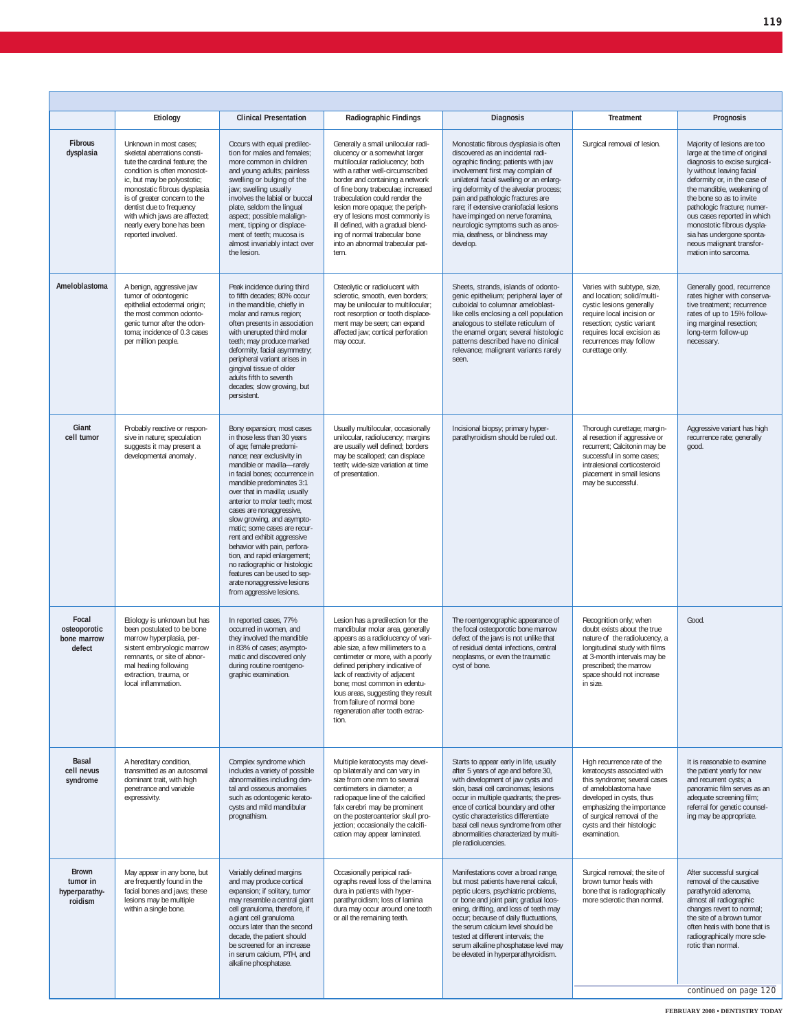|                                                      | Etiology                                                                                                                                                                                                                                                                                                                                 | <b>Clinical Presentation</b>                                                                                                                                                                                                                                                                                                                                                                                                                                                                                                                                                                           | Radiographic Findings                                                                                                                                                                                                                                                                                                                                                                                                                           | <b>Diagnosis</b>                                                                                                                                                                                                                                                                                                                                                                                                                                     | Treatment                                                                                                                                                                                                                                                 | Prognosis                                                                                                                                                                                                                                                                                                                                                                                          |
|------------------------------------------------------|------------------------------------------------------------------------------------------------------------------------------------------------------------------------------------------------------------------------------------------------------------------------------------------------------------------------------------------|--------------------------------------------------------------------------------------------------------------------------------------------------------------------------------------------------------------------------------------------------------------------------------------------------------------------------------------------------------------------------------------------------------------------------------------------------------------------------------------------------------------------------------------------------------------------------------------------------------|-------------------------------------------------------------------------------------------------------------------------------------------------------------------------------------------------------------------------------------------------------------------------------------------------------------------------------------------------------------------------------------------------------------------------------------------------|------------------------------------------------------------------------------------------------------------------------------------------------------------------------------------------------------------------------------------------------------------------------------------------------------------------------------------------------------------------------------------------------------------------------------------------------------|-----------------------------------------------------------------------------------------------------------------------------------------------------------------------------------------------------------------------------------------------------------|----------------------------------------------------------------------------------------------------------------------------------------------------------------------------------------------------------------------------------------------------------------------------------------------------------------------------------------------------------------------------------------------------|
| <b>Fibrous</b><br>dysplasia                          | Unknown in most cases;<br>skeletal aberrations consti-<br>tute the cardinal feature: the<br>condition is often monostot-<br>ic, but may be polyostotic;<br>monostatic fibrous dysplasia<br>is of greater concern to the<br>dentist due to frequency<br>with which jaws are affected;<br>nearly every bone has been<br>reported involved. | Occurs with equal predilec-<br>tion for males and females:<br>more common in children<br>and young adults; painless<br>swelling or bulging of the<br>jaw; swelling usually<br>involves the labial or buccal<br>plate, seldom the lingual<br>aspect; possible malalign-<br>ment, tipping or displace-<br>ment of teeth; mucosa is<br>almost invariably intact over<br>the lesion.                                                                                                                                                                                                                       | Generally a small unilocular radi-<br>olucency or a somewhat larger<br>multilocular radiolucency; both<br>with a rather well-circumscribed<br>border and containing a network<br>of fine bony trabeculae; increased<br>trabeculation could render the<br>lesion more opaque; the periph-<br>ery of lesions most commonly is<br>ill defined, with a gradual blend-<br>ing of normal trabecular bone<br>into an abnormal trabecular pat-<br>tern. | Monostatic fibrous dysplasia is often<br>discovered as an incidental radi-<br>ographic finding; patients with jaw<br>involvement first may complain of<br>unilateral facial swelling or an enlarg-<br>ing deformity of the alveolar process;<br>pain and pathologic fractures are<br>rare; if extensive craniofacial lesions<br>have impinged on nerve foramina,<br>neurologic symptoms such as anos-<br>mia, deafness, or blindness may<br>develop. | Surgical removal of lesion.                                                                                                                                                                                                                               | Majority of lesions are too<br>large at the time of original<br>diagnosis to excise surgical-<br>ly without leaving facial<br>deformity or, in the case of<br>the mandible, weakening of<br>the bone so as to invite<br>pathologic fracture; numer-<br>ous cases reported in which<br>monostotic fibrous dyspla-<br>sia has undergone sponta-<br>neous malignant transfor-<br>mation into sarcoma. |
| Ameloblastoma                                        | A benign, aggressive jaw<br>tumor of odontogenic<br>epithelial ectodermal origin;<br>the most common odonto-<br>genic tumor after the odon-<br>toma; incidence of 0.3 cases<br>per million people.                                                                                                                                       | Peak incidence during third<br>to fifth decades; 80% occur<br>in the mandible, chiefly in<br>molar and ramus region;<br>often presents in association<br>with unerupted third molar<br>teeth; may produce marked<br>deformity, facial asymmetry;<br>peripheral variant arises in<br>gingival tissue of older<br>adults fifth to seventh<br>decades; slow growing, but<br>persistent.                                                                                                                                                                                                                   | Osteolytic or radiolucent with<br>sclerotic, smooth, even borders;<br>may be unilocular to multilocular;<br>root resorption or tooth displace-<br>ment may be seen; can expand<br>affected jaw; cortical perforation<br>may occur.                                                                                                                                                                                                              | Sheets, strands, islands of odonto-<br>genic epithelium; peripheral layer of<br>cuboidal to columnar ameloblast-<br>like cells enclosing a cell population<br>analogous to stellate reticulum of<br>the enamel organ; several histologic<br>patterns described have no clinical<br>relevance; malignant variants rarely<br>seen.                                                                                                                     | Varies with subtype, size,<br>and location; solid/multi-<br>cystic lesions generally<br>require local incision or<br>resection; cystic variant<br>requires local excision as<br>recurrences may follow<br>curettage only.                                 | Generally good, recurrence<br>rates higher with conserva-<br>tive treatment; recurrence<br>rates of up to 15% follow-<br>ing marginal resection;<br>long-term follow-up<br>necessary.                                                                                                                                                                                                              |
| Giant<br>cell tumor                                  | Probably reactive or respon-<br>sive in nature; speculation<br>suggests it may present a<br>developmental anomaly.                                                                                                                                                                                                                       | Bony expansion; most cases<br>in those less than 30 years<br>of age; female predomi-<br>nance; near exclusivity in<br>mandible or maxilla-rarely<br>in facial bones; occurrence in<br>mandible predominates 3:1<br>over that in maxilla; usually<br>anterior to molar teeth; most<br>cases are nonaggressive,<br>slow growing, and asympto-<br>matic: some cases are recur-<br>rent and exhibit aggressive<br>behavior with pain, perfora-<br>tion, and rapid enlargement;<br>no radiographic or histologic<br>features can be used to sep-<br>arate nonaggressive lesions<br>from aggressive lesions. | Usually multilocular, occasionally<br>unilocular, radiolucency; margins<br>are usually well defined; borders<br>may be scalloped; can displace<br>teeth; wide-size variation at time<br>of presentation.                                                                                                                                                                                                                                        | Incisional biopsy; primary hyper-<br>parathyroidism should be ruled out.                                                                                                                                                                                                                                                                                                                                                                             | Thorough curettage; margin-<br>al resection if aggressive or<br>recurrent; Calcitonin may be<br>successful in some cases;<br>intralesional corticosteroid<br>placement in small lesions<br>may be successful.                                             | Aggressive variant has high<br>recurrence rate; generally<br>good.                                                                                                                                                                                                                                                                                                                                 |
| Focal<br>osteoporotic<br>bone marrow<br>defect       | Etiology is unknown but has<br>been postulated to be bone<br>marrow hyperplasia, per-<br>sistent embryologic marrow<br>remnants, or site of abnor-<br>mal healing following<br>extraction, trauma, or<br>local inflammation.                                                                                                             | In reported cases, 77%<br>occurred in women, and<br>they involved the mandible<br>in 83% of cases; asympto-<br>matic and discovered only<br>during routine roentgeno-<br>graphic examination.                                                                                                                                                                                                                                                                                                                                                                                                          | Lesion has a predilection for the<br>mandibular molar area, generally<br>appears as a radiolucency of vari-<br>able size, a few millimeters to a<br>centimeter or more, with a poorly<br>defined periphery indicative of<br>lack of reactivity of adjacent<br>bone; most common in edentu-<br>lous areas, suggesting they result<br>from failure of normal bone<br>regeneration after tooth extrac-<br>tion.                                    | The roentgenographic appearance of<br>the focal osteoporotic bone marrow<br>defect of the jaws is not unlike that<br>of residual dental infections, central<br>neoplasms, or even the traumatic<br>cyst of bone.                                                                                                                                                                                                                                     | Recognition only; when<br>doubt exists about the true<br>nature of the radiolucency, a<br>longitudinal study with films<br>at 3-month intervals may be<br>prescribed; the marrow<br>space should not increase<br>in size.                                 | Good.                                                                                                                                                                                                                                                                                                                                                                                              |
| <b>Basal</b><br>cell nevus<br>syndrome               | A hereditary condition,<br>transmitted as an autosomal<br>dominant trait, with high<br>penetrance and variable<br>expressivity.                                                                                                                                                                                                          | Complex syndrome which<br>includes a variety of possible<br>abnormalities including den-<br>tal and osseous anomalies<br>such as odontogenic kerato-<br>cysts and mild mandibular<br>prognathism.                                                                                                                                                                                                                                                                                                                                                                                                      | Multiple keratocysts may devel-<br>op bilaterally and can vary in<br>size from one mm to several<br>centimeters in diameter; a<br>radiopaque line of the calcified<br>falx cerebri may be prominent<br>on the posteroanterior skull pro-<br>jection; occasionally the calcifi-<br>cation may appear laminated.                                                                                                                                  | Starts to appear early in life, usually<br>after 5 years of age and before 30,<br>with development of jaw cysts and<br>skin, basal cell carcinomas; lesions<br>occur in multiple quadrants; the pres-<br>ence of cortical boundary and other<br>cystic characteristics differentiate<br>basal cell nevus syndrome from other<br>abnormalities characterized by multi-<br>ple radiolucencies.                                                         | High recurrence rate of the<br>keratocysts associated with<br>this syndrome; several cases<br>of ameloblastoma have<br>developed in cysts, thus<br>emphasizing the importance<br>of surgical removal of the<br>cysts and their histologic<br>examination. | It is reasonable to examine<br>the patient yearly for new<br>and recurrent cysts; a<br>panoramic film serves as an<br>adequate screening film;<br>referral for genetic counsel-<br>ing may be appropriate.                                                                                                                                                                                         |
| <b>Brown</b><br>tumor in<br>hyperparathy-<br>roidism | May appear in any bone, but<br>are frequently found in the<br>facial bones and jaws; these<br>lesions may be multiple<br>within a single bone.                                                                                                                                                                                           | Variably defined margins<br>and may produce cortical<br>expansion; if solitary, tumor<br>may resemble a central giant<br>cell granuloma, therefore, if<br>a giant cell granuloma<br>occurs later than the second<br>decade, the patient should<br>be screened for an increase<br>in serum calcium, PTH, and<br>alkaline phosphatase.                                                                                                                                                                                                                                                                   | Occasionally peripical radi-<br>ographs reveal loss of the lamina<br>dura in patients with hyper-<br>parathyroidism; loss of lamina<br>dura may occur around one tooth<br>or all the remaining teeth.                                                                                                                                                                                                                                           | Manifestations cover a broad range,<br>but most patients have renal calculi,<br>peptic ulcers, psychiatric problems,<br>or bone and joint pain; gradual loos-<br>ening, drifting, and loss of teeth may<br>occur; because of daily fluctuations,<br>the serum calcium level should be<br>tested at different intervals; the<br>serum alkaline phosphatase level may<br>be elevated in hyperparathyroidism.                                           | Surgical removal; the site of<br>brown tumor heals with<br>bone that is radiographically<br>more sclerotic than normal.                                                                                                                                   | After successful surgical<br>removal of the causative<br>parathyroid adenoma,<br>almost all radiographic<br>changes revert to normal;<br>the site of a brown tumor<br>often heals with bone that is<br>radiographically more scle-<br>rotic than normal.                                                                                                                                           |
|                                                      |                                                                                                                                                                                                                                                                                                                                          |                                                                                                                                                                                                                                                                                                                                                                                                                                                                                                                                                                                                        |                                                                                                                                                                                                                                                                                                                                                                                                                                                 |                                                                                                                                                                                                                                                                                                                                                                                                                                                      |                                                                                                                                                                                                                                                           | continued on page 120                                                                                                                                                                                                                                                                                                                                                                              |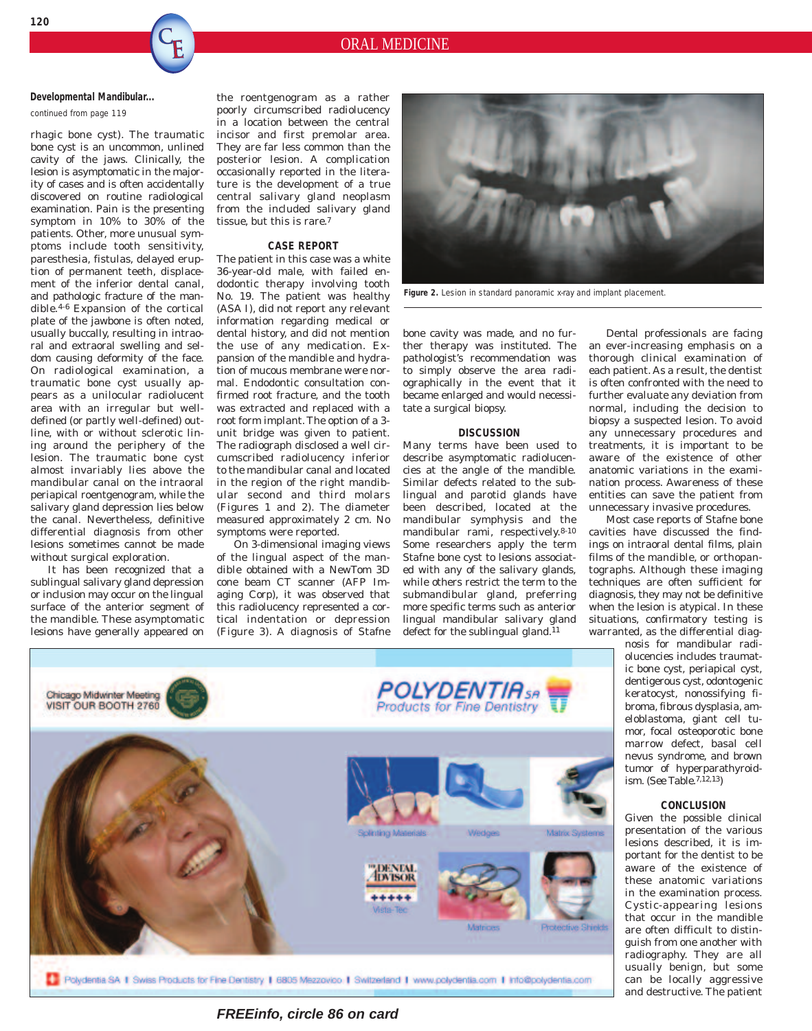## **Developmental Mandibular...**

*continued from page 119*

rhagic bone cyst). The traumatic bone cyst is an uncommon, unlined cavity of the jaws. Clinically, the lesion is asymptomatic in the majority of cases and is often accidentally discovered on routine radiological examination. Pain is the presenting symptom in 10% to 30% of the patients. Other, more unusual symptoms include tooth sensitivity, paresthesia, fistulas, delayed eruption of permanent teeth, displacement of the inferior dental canal, and pathologic fracture of the mandible.4-6 Expansion of the cortical plate of the jawbone is often noted, usually buccally, resulting in intraoral and extraoral swelling and seldom causing deformity of the face. On radiological examination, a traumatic bone cyst usually appears as a unilocular radiolucent area with an irregular but welldefined (or partly well-defined) outline, with or without sclerotic lining around the periphery of the lesion. The traumatic bone cyst almost invariably lies above the mandibular canal on the intraoral periapical roentgenogram, while the salivary gland depression lies below the canal. Nevertheless, definitive differential diagnosis from other lesions sometimes cannot be made without surgical exploration.

It has been recognized that a sublingual salivary gland depression or inclusion may occur on the lingual surface of the anterior segment of the mandible. These asymptomatic lesions have generally appeared on

the roentgenogram as a rather poorly circumscribed radiolucency in a location between the central incisor and first premolar area. They are far less common than the posterior lesion. A complication occasionally reported in the literature is the development of a true central salivary gland neoplasm from the included salivary gland tissue, but this is rare.7

## **CASE REPORT**

The patient in this case was a white 36-year-old male, with failed endodontic therapy involving tooth No. 19. The patient was healthy (ASA I), did not report any relevant information regarding medical or dental history, and did not mention the use of any medication. Expansion of the mandible and hydration of mucous membrane were normal. Endodontic consultation confirmed root fracture, and the tooth was extracted and replaced with a root form implant. The option of a 3 unit bridge was given to patient. The radiograph disclosed a well circumscribed radiolucency inferior to the mandibular canal and located in the region of the right mandibular second and third molars (Figures 1 and 2). The diameter measured approximately 2 cm. No symptoms were reported.

On 3-dimensional imaging views of the lingual aspect of the mandible obtained with a NewTom 3D cone beam CT scanner (AFP Imaging Corp), it was observed that this radiolucency represented a cortical indentation or depression (Figure 3). A diagnosis of Stafne



Figure 2. Lesion in standard panoramic x-ray and implant placement.

bone cavity was made, and no further therapy was instituted. The pathologist's recommendation was to simply observe the area radiographically in the event that it became enlarged and would necessitate a surgical biopsy.

### **DISCUSSION**

Many terms have been used to describe asymptomatic radiolucencies at the angle of the mandible. Similar defects related to the sublingual and parotid glands have been described, located at the mandibular symphysis and the mandibular rami, respectively.8-10 Some researchers apply the term Stafne bone cyst to lesions associated with any of the salivary glands, while others restrict the term to the submandibular gland, preferring more specific terms such as anterior lingual mandibular salivary gland defect for the sublingual gland.<sup>11</sup>

Dental professionals are facing an ever-increasing emphasis on a thorough clinical examination of each patient. As a result, the dentist is often confronted with the need to further evaluate any deviation from normal, including the decision to biopsy a suspected lesion. To avoid any unnecessary procedures and treatments, it is important to be aware of the existence of other anatomic variations in the examination process. Awareness of these entities can save the patient from unnecessary invasive procedures.

Most case reports of Stafne bone cavities have discussed the findings on intraoral dental films, plain films of the mandible, or orthopantographs. Although these imaging techniques are often sufficient for diagnosis, they may not be definitive when the lesion is atypical. In these situations, confirmatory testing is warranted, as the differential diag-

nosis for mandibular radiolucencies includes traumatic bone cyst, periapical cyst, dentigerous cyst, odontogenic keratocyst, nonossifying fibroma, fibrous dysplasia, ameloblastoma, giant cell tumor, focal osteoporotic bone marrow defect, basal cell nevus syndrome, and brown tumor of hyperparathyroidism. (See Table.7,12,13)

## **CONCLUSION**

Given the possible clinical presentation of the various lesions described, it is important for the dentist to be aware of the existence of these anatomic variations in the examination process. Cystic-appearing lesions that occur in the mandible are often difficult to distinguish from one another with radiography. They are all usually benign, but some can be locally aggressive and destructive. The patient



**FREEinfo, circle 86 on card**